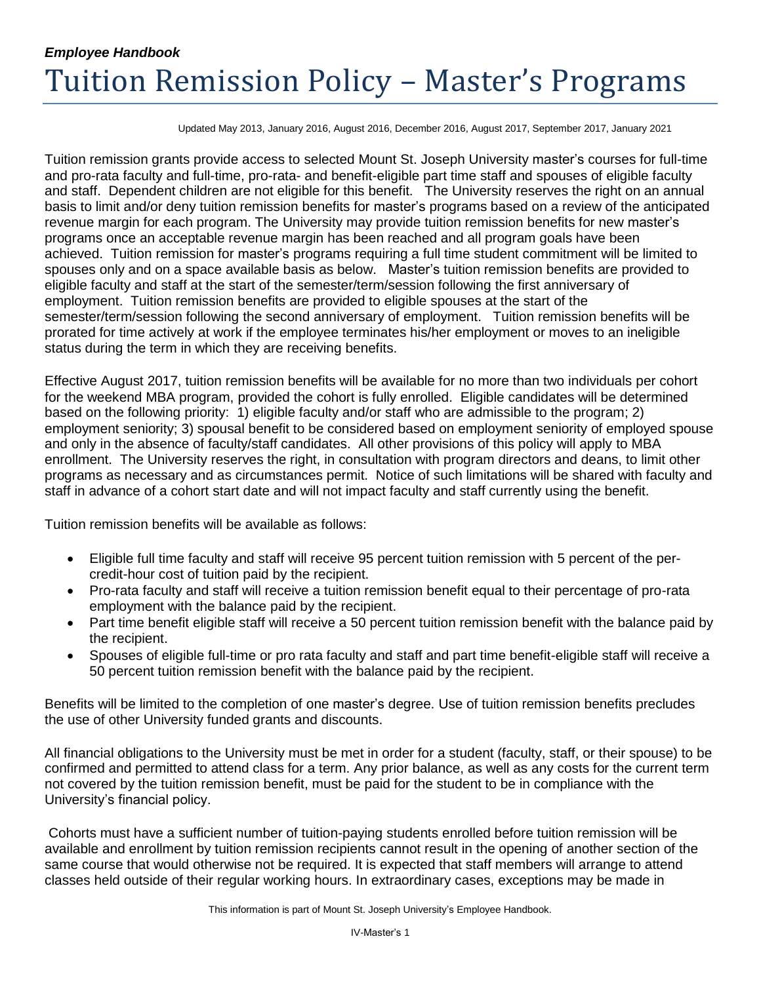# *Employee Handbook* Tuition Remission Policy – Master's Programs

Updated May 2013, January 2016, August 2016, December 2016, August 2017, September 2017, January 2021

Tuition remission grants provide access to selected Mount St. Joseph University master's courses for full-time and pro-rata faculty and full-time, pro-rata- and benefit-eligible part time staff and spouses of eligible faculty and staff. Dependent children are not eligible for this benefit. The University reserves the right on an annual basis to limit and/or deny tuition remission benefits for master's programs based on a review of the anticipated revenue margin for each program. The University may provide tuition remission benefits for new master's programs once an acceptable revenue margin has been reached and all program goals have been achieved. Tuition remission for master's programs requiring a full time student commitment will be limited to spouses only and on a space available basis as below. Master's tuition remission benefits are provided to eligible faculty and staff at the start of the semester/term/session following the first anniversary of employment. Tuition remission benefits are provided to eligible spouses at the start of the semester/term/session following the second anniversary of employment. Tuition remission benefits will be prorated for time actively at work if the employee terminates his/her employment or moves to an ineligible status during the term in which they are receiving benefits.

Effective August 2017, tuition remission benefits will be available for no more than two individuals per cohort for the weekend MBA program, provided the cohort is fully enrolled. Eligible candidates will be determined based on the following priority: 1) eligible faculty and/or staff who are admissible to the program; 2) employment seniority; 3) spousal benefit to be considered based on employment seniority of employed spouse and only in the absence of faculty/staff candidates. All other provisions of this policy will apply to MBA enrollment. The University reserves the right, in consultation with program directors and deans, to limit other programs as necessary and as circumstances permit. Notice of such limitations will be shared with faculty and staff in advance of a cohort start date and will not impact faculty and staff currently using the benefit.

Tuition remission benefits will be available as follows:

- Eligible full time faculty and staff will receive 95 percent tuition remission with 5 percent of the percredit-hour cost of tuition paid by the recipient.
- Pro-rata faculty and staff will receive a tuition remission benefit equal to their percentage of pro-rata employment with the balance paid by the recipient.
- Part time benefit eligible staff will receive a 50 percent tuition remission benefit with the balance paid by the recipient.
- Spouses of eligible full-time or pro rata faculty and staff and part time benefit-eligible staff will receive a 50 percent tuition remission benefit with the balance paid by the recipient.

Benefits will be limited to the completion of one master's degree. Use of tuition remission benefits precludes the use of other University funded grants and discounts.

All financial obligations to the University must be met in order for a student (faculty, staff, or their spouse) to be confirmed and permitted to attend class for a term. Any prior balance, as well as any costs for the current term not covered by the tuition remission benefit, must be paid for the student to be in compliance with the University's financial policy.

Cohorts must have a sufficient number of tuition-paying students enrolled before tuition remission will be available and enrollment by tuition remission recipients cannot result in the opening of another section of the same course that would otherwise not be required. It is expected that staff members will arrange to attend classes held outside of their regular working hours. In extraordinary cases, exceptions may be made in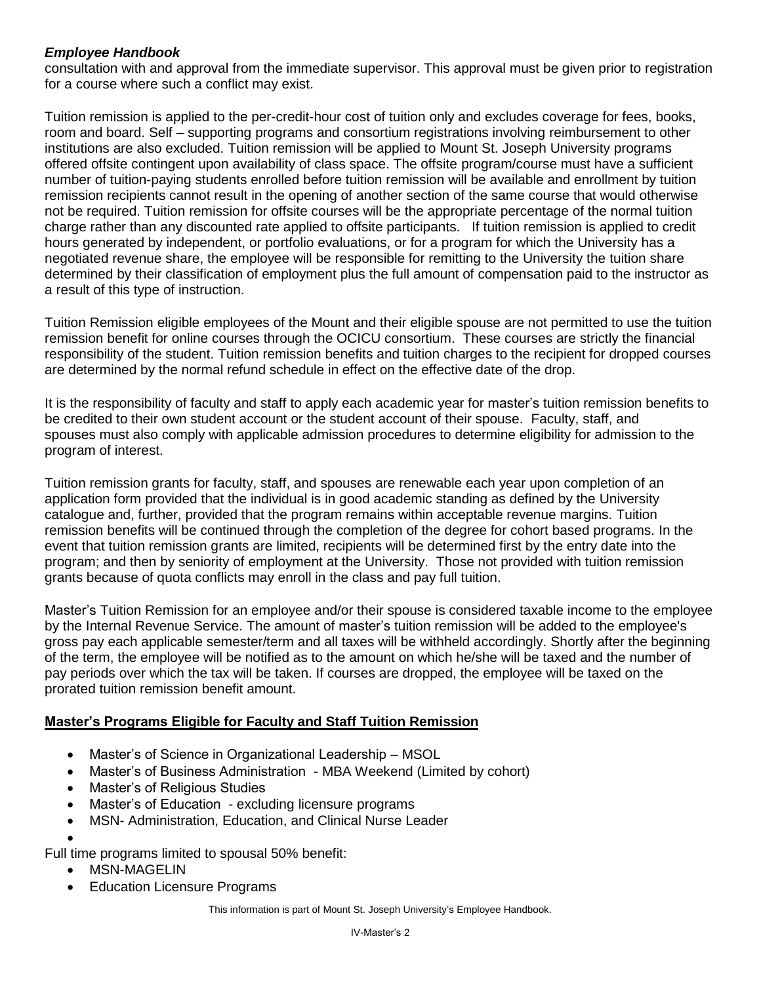### *Employee Handbook*

consultation with and approval from the immediate supervisor. This approval must be given prior to registration for a course where such a conflict may exist.

Tuition remission is applied to the per-credit-hour cost of tuition only and excludes coverage for fees, books, room and board. Self – supporting programs and consortium registrations involving reimbursement to other institutions are also excluded. Tuition remission will be applied to Mount St. Joseph University programs offered offsite contingent upon availability of class space. The offsite program/course must have a sufficient number of tuition-paying students enrolled before tuition remission will be available and enrollment by tuition remission recipients cannot result in the opening of another section of the same course that would otherwise not be required. Tuition remission for offsite courses will be the appropriate percentage of the normal tuition charge rather than any discounted rate applied to offsite participants. If tuition remission is applied to credit hours generated by independent, or portfolio evaluations, or for a program for which the University has a negotiated revenue share, the employee will be responsible for remitting to the University the tuition share determined by their classification of employment plus the full amount of compensation paid to the instructor as a result of this type of instruction.

Tuition Remission eligible employees of the Mount and their eligible spouse are not permitted to use the tuition remission benefit for online courses through the OCICU consortium. These courses are strictly the financial responsibility of the student. Tuition remission benefits and tuition charges to the recipient for dropped courses are determined by the normal refund schedule in effect on the effective date of the drop.

It is the responsibility of faculty and staff to apply each academic year for master's tuition remission benefits to be credited to their own student account or the student account of their spouse. Faculty, staff, and spouses must also comply with applicable admission procedures to determine eligibility for admission to the program of interest.

Tuition remission grants for faculty, staff, and spouses are renewable each year upon completion of an application form provided that the individual is in good academic standing as defined by the University catalogue and, further, provided that the program remains within acceptable revenue margins. Tuition remission benefits will be continued through the completion of the degree for cohort based programs. In the event that tuition remission grants are limited, recipients will be determined first by the entry date into the program; and then by seniority of employment at the University. Those not provided with tuition remission grants because of quota conflicts may enroll in the class and pay full tuition.

Master's Tuition Remission for an employee and/or their spouse is considered taxable income to the employee by the Internal Revenue Service. The amount of master's tuition remission will be added to the employee's gross pay each applicable semester/term and all taxes will be withheld accordingly. Shortly after the beginning of the term, the employee will be notified as to the amount on which he/she will be taxed and the number of pay periods over which the tax will be taken. If courses are dropped, the employee will be taxed on the prorated tuition remission benefit amount.

## **Master's Programs Eligible for Faculty and Staff Tuition Remission**

- Master's of Science in Organizational Leadership MSOL
- Master's of Business Administration MBA Weekend (Limited by cohort)
- Master's of Religious Studies
- Master's of Education excluding licensure programs
- MSN- Administration, Education, and Clinical Nurse Leader

 $\bullet$ 

Full time programs limited to spousal 50% benefit:

- MSN-MAGELIN
- Education Licensure Programs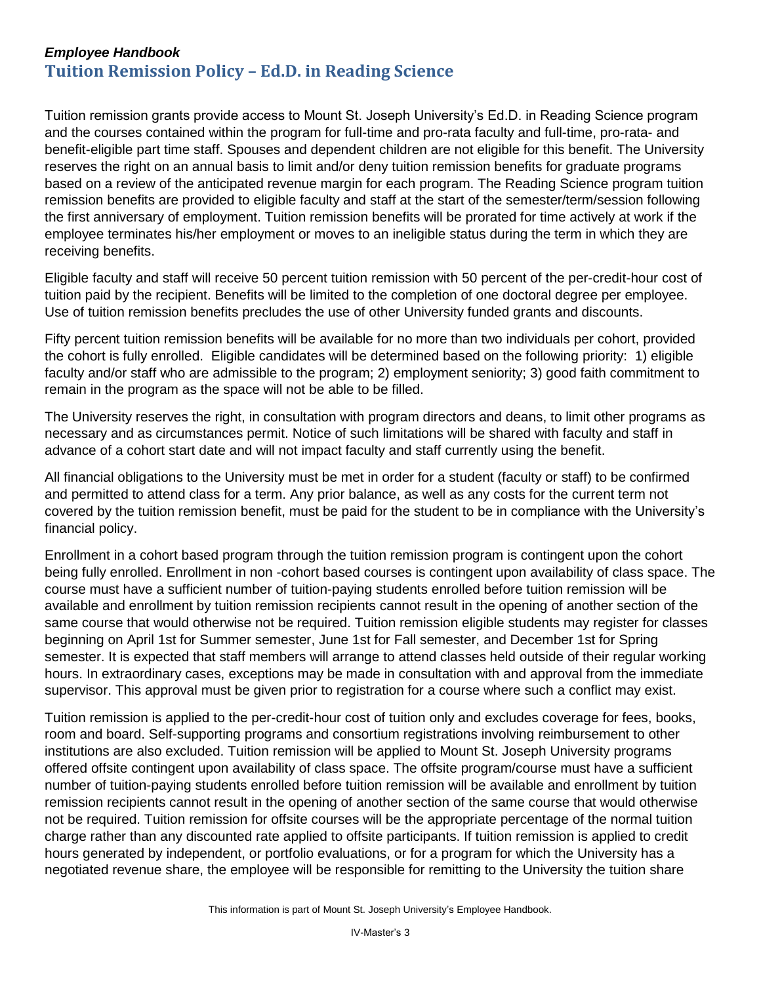# *Employee Handbook* **Tuition Remission Policy – Ed.D. in Reading Science**

Tuition remission grants provide access to Mount St. Joseph University's Ed.D. in Reading Science program and the courses contained within the program for full-time and pro-rata faculty and full-time, pro-rata- and benefit-eligible part time staff. Spouses and dependent children are not eligible for this benefit. The University reserves the right on an annual basis to limit and/or deny tuition remission benefits for graduate programs based on a review of the anticipated revenue margin for each program. The Reading Science program tuition remission benefits are provided to eligible faculty and staff at the start of the semester/term/session following the first anniversary of employment. Tuition remission benefits will be prorated for time actively at work if the employee terminates his/her employment or moves to an ineligible status during the term in which they are receiving benefits.

Eligible faculty and staff will receive 50 percent tuition remission with 50 percent of the per-credit-hour cost of tuition paid by the recipient. Benefits will be limited to the completion of one doctoral degree per employee. Use of tuition remission benefits precludes the use of other University funded grants and discounts.

Fifty percent tuition remission benefits will be available for no more than two individuals per cohort, provided the cohort is fully enrolled. Eligible candidates will be determined based on the following priority: 1) eligible faculty and/or staff who are admissible to the program; 2) employment seniority; 3) good faith commitment to remain in the program as the space will not be able to be filled.

The University reserves the right, in consultation with program directors and deans, to limit other programs as necessary and as circumstances permit. Notice of such limitations will be shared with faculty and staff in advance of a cohort start date and will not impact faculty and staff currently using the benefit.

All financial obligations to the University must be met in order for a student (faculty or staff) to be confirmed and permitted to attend class for a term. Any prior balance, as well as any costs for the current term not covered by the tuition remission benefit, must be paid for the student to be in compliance with the University's financial policy.

Enrollment in a cohort based program through the tuition remission program is contingent upon the cohort being fully enrolled. Enrollment in non -cohort based courses is contingent upon availability of class space. The course must have a sufficient number of tuition-paying students enrolled before tuition remission will be available and enrollment by tuition remission recipients cannot result in the opening of another section of the same course that would otherwise not be required. Tuition remission eligible students may register for classes beginning on April 1st for Summer semester, June 1st for Fall semester, and December 1st for Spring semester. It is expected that staff members will arrange to attend classes held outside of their regular working hours. In extraordinary cases, exceptions may be made in consultation with and approval from the immediate supervisor. This approval must be given prior to registration for a course where such a conflict may exist.

Tuition remission is applied to the per-credit-hour cost of tuition only and excludes coverage for fees, books, room and board. Self-supporting programs and consortium registrations involving reimbursement to other institutions are also excluded. Tuition remission will be applied to Mount St. Joseph University programs offered offsite contingent upon availability of class space. The offsite program/course must have a sufficient number of tuition-paying students enrolled before tuition remission will be available and enrollment by tuition remission recipients cannot result in the opening of another section of the same course that would otherwise not be required. Tuition remission for offsite courses will be the appropriate percentage of the normal tuition charge rather than any discounted rate applied to offsite participants. If tuition remission is applied to credit hours generated by independent, or portfolio evaluations, or for a program for which the University has a negotiated revenue share, the employee will be responsible for remitting to the University the tuition share